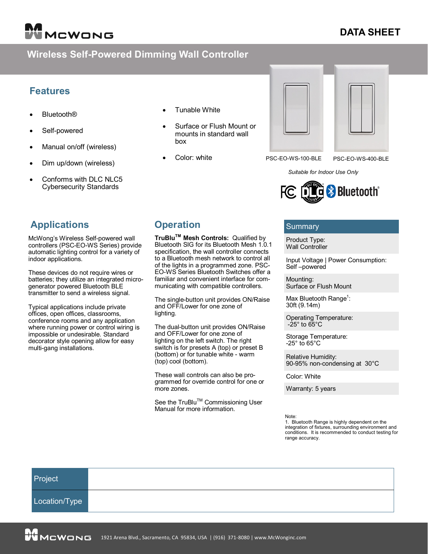# MCWONG

# **DATA SHEET**

# **Wireless Self-Powered Dimming Wall Controller**

#### **Features**

- **Bluetooth®**
- Self-powered
- Manual on/off (wireless)
- Dim up/down (wireless)
- Conforms with DLC NLC5 Cybersecurity Standards
- **Applications**

McWong's Wireless Self-powered wall controllers (PSC-EO-WS Series) provide automatic lighting control for a variety of indoor applications.

These devices do not require wires or batteries; they utilize an integrated microgenerator powered Bluetooth BLE transmitter to send a wireless signal.

Typical applications include private offices, open offices, classrooms, conference rooms and any application where running power or control wiring is impossible or undesirable. Standard decorator style opening allow for easy multi-gang installations.

- Tunable White
- Surface or Flush Mount or mounts in standard wall box

**TruBluTM Mesh Controls:** Qualified by Bluetooth SIG for its Bluetooth Mesh 1.0.1 specification, the wall controller connects to a Bluetooth mesh network to control all of the lights in a programmed zone. PSC-EO-WS Series Bluetooth Switches offer a familiar and convenient interface for communicating with compatible controllers.

The single-button unit provides ON/Raise

The dual-button unit provides ON/Raise and OFF/Lower for one zone of lighting on the left switch. The right switch is for presets A (top) or preset B (bottom) or for tunable white - warm

These wall controls can also be programmed for override control for one or

See the TruBlu<sup>™</sup> Commissioning User

Manual for more information.

and OFF/Lower for one zone of

Color: white

**Operation**

lighting.

(top) cool (bottom).

more zones.



PSC-EO-WS-100-BLE PSC-EO-WS-400-BLE

*Suitable for Indoor Use Only*



#### Summary

Product Type: Wall Controller

Input Voltage | Power Consumption: Self –powered

Mounting: Surface or Flush Mount

Max Bluetooth Range<sup>1</sup>: 30ft (9.14m)

Operating Temperature:  $-25^\circ$  to  $65^\circ$ C

Storage Temperature: -25° to 65°C

Relative Humidity: 90-95% non-condensing at 30°C

Color: White

Warranty: 5 years

Note:

1. Bluetooth Range is highly dependent on the integration of fixtures, surrounding environment and conditions. It is recommended to conduct testing for range accuracy.

| Project       |  |
|---------------|--|
| Location/Type |  |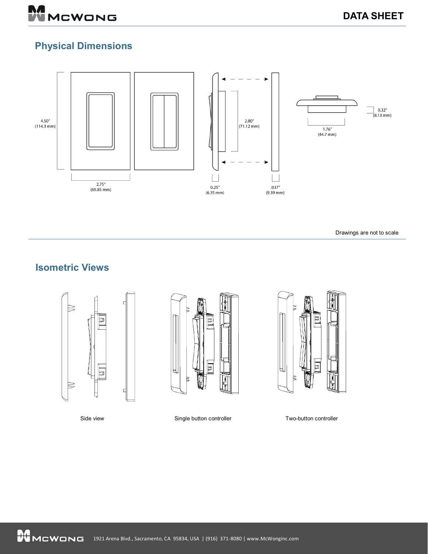

# **Physical Dimensions**



Drawings are not to scale

Rev. 3/9/2022

# **Isometric Views**





Side view Single button controller Two-button controller



1921 Arena Blvd., Sacramento, CA 95834, USA | (916) 371-8080 |